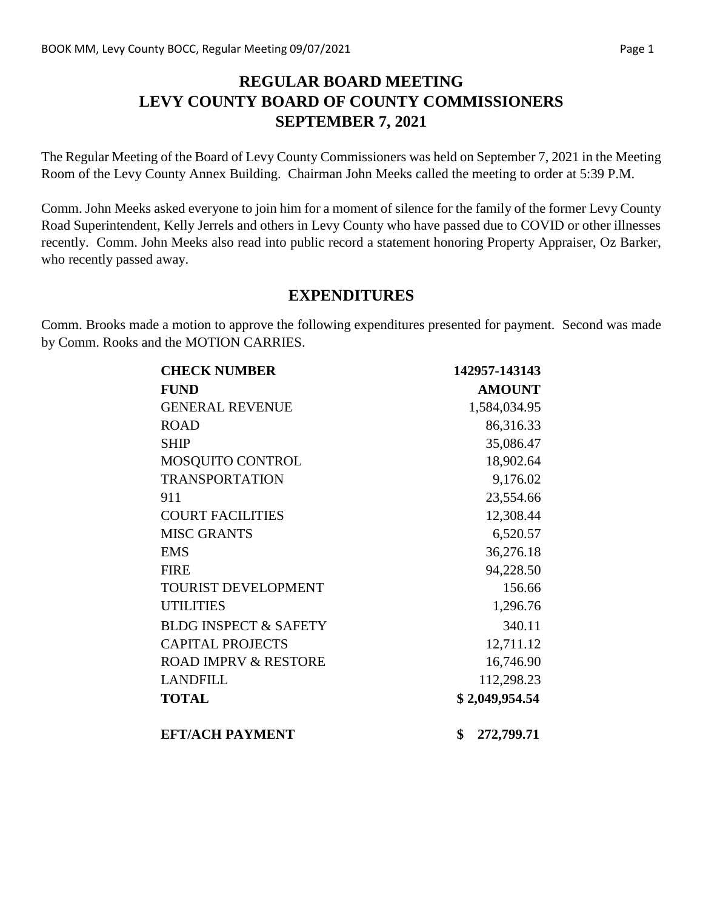### **REGULAR BOARD MEETING LEVY COUNTY BOARD OF COUNTY COMMISSIONERS SEPTEMBER 7, 2021**

The Regular Meeting of the Board of Levy County Commissioners was held on September 7, 2021 in the Meeting Room of the Levy County Annex Building. Chairman John Meeks called the meeting to order at 5:39 P.M.

Comm. John Meeks asked everyone to join him for a moment of silence for the family of the former Levy County Road Superintendent, Kelly Jerrels and others in Levy County who have passed due to COVID or other illnesses recently. Comm. John Meeks also read into public record a statement honoring Property Appraiser, Oz Barker, who recently passed away.

#### **EXPENDITURES**

Comm. Brooks made a motion to approve the following expenditures presented for payment. Second was made by Comm. Rooks and the MOTION CARRIES.

| <b>CHECK NUMBER</b>              | 142957-143143    |
|----------------------------------|------------------|
| <b>FUND</b>                      | <b>AMOUNT</b>    |
| <b>GENERAL REVENUE</b>           | 1,584,034.95     |
| <b>ROAD</b>                      | 86,316.33        |
| <b>SHIP</b>                      | 35,086.47        |
| MOSQUITO CONTROL                 | 18,902.64        |
| <b>TRANSPORTATION</b>            | 9,176.02         |
| 911                              | 23,554.66        |
| <b>COURT FACILITIES</b>          | 12,308.44        |
| <b>MISC GRANTS</b>               | 6,520.57         |
| <b>EMS</b>                       | 36,276.18        |
| <b>FIRE</b>                      | 94,228.50        |
| <b>TOURIST DEVELOPMENT</b>       | 156.66           |
| <b>UTILITIES</b>                 | 1,296.76         |
| <b>BLDG INSPECT &amp; SAFETY</b> | 340.11           |
| <b>CAPITAL PROJECTS</b>          | 12,711.12        |
| <b>ROAD IMPRV &amp; RESTORE</b>  | 16,746.90        |
| <b>LANDFILL</b>                  | 112,298.23       |
| <b>TOTAL</b>                     | \$2,049,954.54   |
| <b>EFT/ACH PAYMENT</b>           | \$<br>272,799.71 |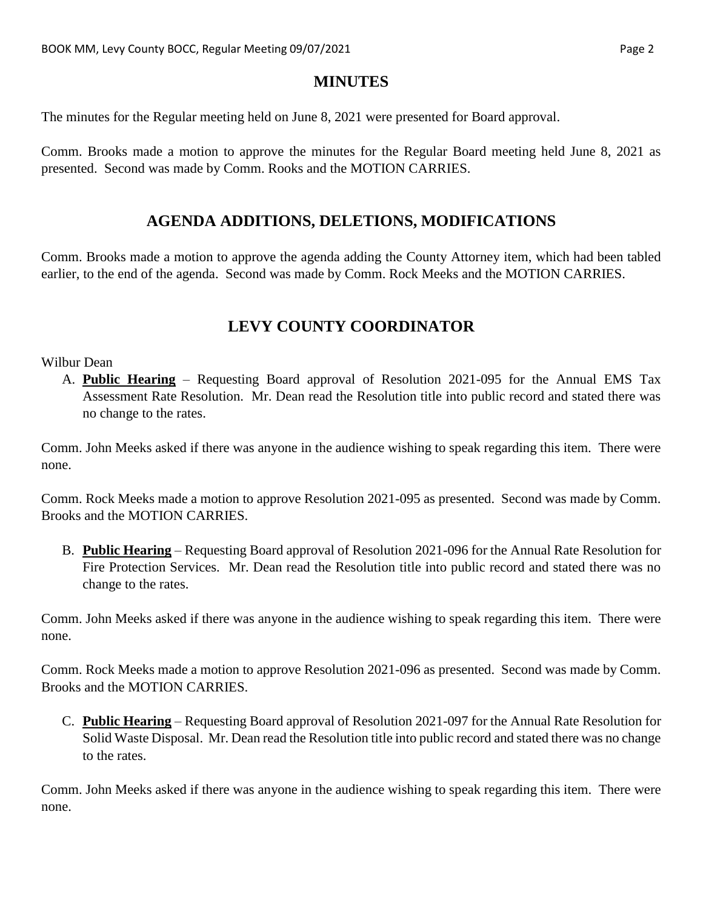#### **MINUTES**

The minutes for the Regular meeting held on June 8, 2021 were presented for Board approval.

Comm. Brooks made a motion to approve the minutes for the Regular Board meeting held June 8, 2021 as presented. Second was made by Comm. Rooks and the MOTION CARRIES.

#### **AGENDA ADDITIONS, DELETIONS, MODIFICATIONS**

Comm. Brooks made a motion to approve the agenda adding the County Attorney item, which had been tabled earlier, to the end of the agenda. Second was made by Comm. Rock Meeks and the MOTION CARRIES.

# **LEVY COUNTY COORDINATOR**

#### Wilbur Dean

A. **Public Hearing** – Requesting Board approval of Resolution 2021-095 for the Annual EMS Tax Assessment Rate Resolution. Mr. Dean read the Resolution title into public record and stated there was no change to the rates.

Comm. John Meeks asked if there was anyone in the audience wishing to speak regarding this item. There were none.

Comm. Rock Meeks made a motion to approve Resolution 2021-095 as presented. Second was made by Comm. Brooks and the MOTION CARRIES.

B. **Public Hearing** – Requesting Board approval of Resolution 2021-096 for the Annual Rate Resolution for Fire Protection Services. Mr. Dean read the Resolution title into public record and stated there was no change to the rates.

Comm. John Meeks asked if there was anyone in the audience wishing to speak regarding this item. There were none.

Comm. Rock Meeks made a motion to approve Resolution 2021-096 as presented. Second was made by Comm. Brooks and the MOTION CARRIES.

C. **Public Hearing** – Requesting Board approval of Resolution 2021-097 for the Annual Rate Resolution for Solid Waste Disposal. Mr. Dean read the Resolution title into public record and stated there was no change to the rates.

Comm. John Meeks asked if there was anyone in the audience wishing to speak regarding this item. There were none.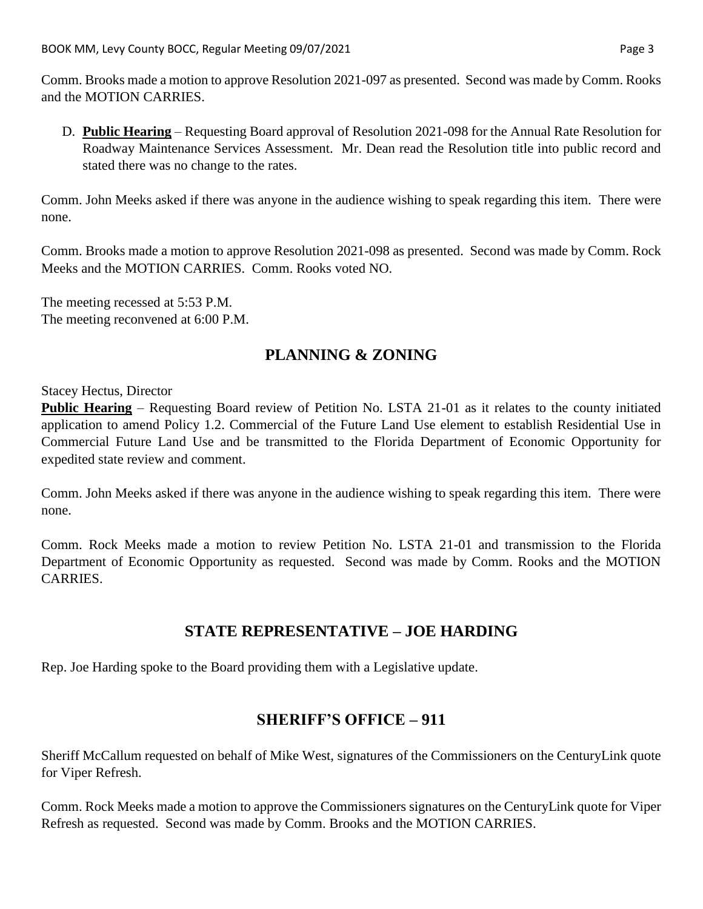Comm. Brooks made a motion to approve Resolution 2021-097 as presented. Second was made by Comm. Rooks and the MOTION CARRIES.

D. **Public Hearing** – Requesting Board approval of Resolution 2021-098 for the Annual Rate Resolution for Roadway Maintenance Services Assessment. Mr. Dean read the Resolution title into public record and stated there was no change to the rates.

Comm. John Meeks asked if there was anyone in the audience wishing to speak regarding this item. There were none.

Comm. Brooks made a motion to approve Resolution 2021-098 as presented. Second was made by Comm. Rock Meeks and the MOTION CARRIES. Comm. Rooks voted NO.

The meeting recessed at 5:53 P.M. The meeting reconvened at 6:00 P.M.

# **PLANNING & ZONING**

Stacey Hectus, Director

**Public Hearing** – Requesting Board review of Petition No. LSTA 21-01 as it relates to the county initiated application to amend Policy 1.2. Commercial of the Future Land Use element to establish Residential Use in Commercial Future Land Use and be transmitted to the Florida Department of Economic Opportunity for expedited state review and comment.

Comm. John Meeks asked if there was anyone in the audience wishing to speak regarding this item. There were none.

Comm. Rock Meeks made a motion to review Petition No. LSTA 21-01 and transmission to the Florida Department of Economic Opportunity as requested. Second was made by Comm. Rooks and the MOTION CARRIES.

#### **STATE REPRESENTATIVE – JOE HARDING**

Rep. Joe Harding spoke to the Board providing them with a Legislative update.

### **SHERIFF'S OFFICE – 911**

Sheriff McCallum requested on behalf of Mike West, signatures of the Commissioners on the CenturyLink quote for Viper Refresh.

Comm. Rock Meeks made a motion to approve the Commissioners signatures on the CenturyLink quote for Viper Refresh as requested. Second was made by Comm. Brooks and the MOTION CARRIES.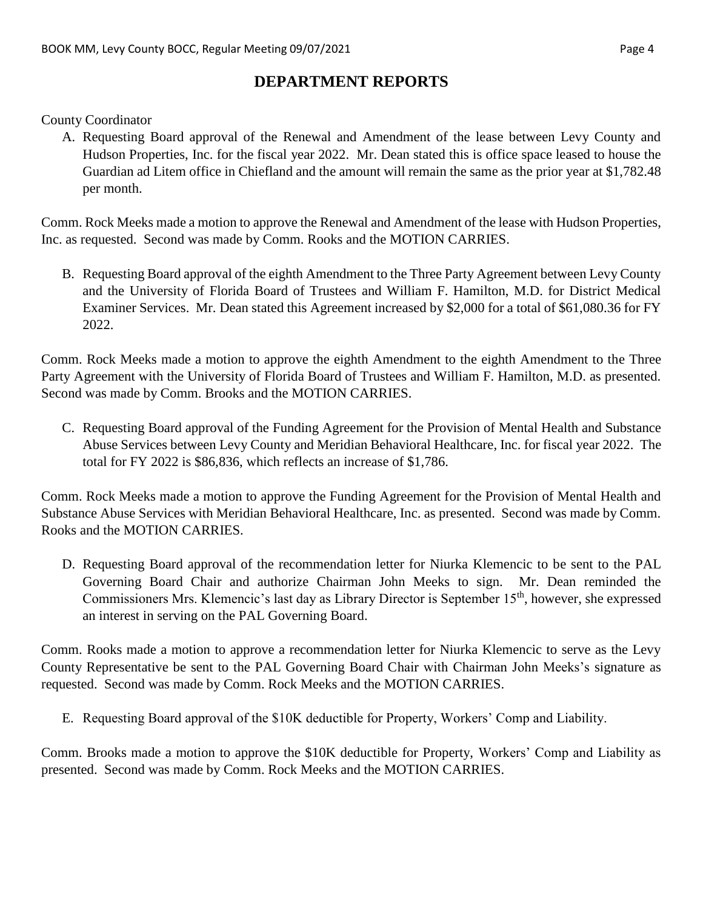### **DEPARTMENT REPORTS**

County Coordinator

A. Requesting Board approval of the Renewal and Amendment of the lease between Levy County and Hudson Properties, Inc. for the fiscal year 2022. Mr. Dean stated this is office space leased to house the Guardian ad Litem office in Chiefland and the amount will remain the same as the prior year at \$1,782.48 per month.

Comm. Rock Meeks made a motion to approve the Renewal and Amendment of the lease with Hudson Properties, Inc. as requested. Second was made by Comm. Rooks and the MOTION CARRIES.

B. Requesting Board approval of the eighth Amendment to the Three Party Agreement between Levy County and the University of Florida Board of Trustees and William F. Hamilton, M.D. for District Medical Examiner Services. Mr. Dean stated this Agreement increased by \$2,000 for a total of \$61,080.36 for FY 2022.

Comm. Rock Meeks made a motion to approve the eighth Amendment to the eighth Amendment to the Three Party Agreement with the University of Florida Board of Trustees and William F. Hamilton, M.D. as presented. Second was made by Comm. Brooks and the MOTION CARRIES.

C. Requesting Board approval of the Funding Agreement for the Provision of Mental Health and Substance Abuse Services between Levy County and Meridian Behavioral Healthcare, Inc. for fiscal year 2022. The total for FY 2022 is \$86,836, which reflects an increase of \$1,786.

Comm. Rock Meeks made a motion to approve the Funding Agreement for the Provision of Mental Health and Substance Abuse Services with Meridian Behavioral Healthcare, Inc. as presented. Second was made by Comm. Rooks and the MOTION CARRIES.

D. Requesting Board approval of the recommendation letter for Niurka Klemencic to be sent to the PAL Governing Board Chair and authorize Chairman John Meeks to sign. Mr. Dean reminded the Commissioners Mrs. Klemencic's last day as Library Director is September 15<sup>th</sup>, however, she expressed an interest in serving on the PAL Governing Board.

Comm. Rooks made a motion to approve a recommendation letter for Niurka Klemencic to serve as the Levy County Representative be sent to the PAL Governing Board Chair with Chairman John Meeks's signature as requested. Second was made by Comm. Rock Meeks and the MOTION CARRIES.

E. Requesting Board approval of the \$10K deductible for Property, Workers' Comp and Liability.

Comm. Brooks made a motion to approve the \$10K deductible for Property, Workers' Comp and Liability as presented. Second was made by Comm. Rock Meeks and the MOTION CARRIES.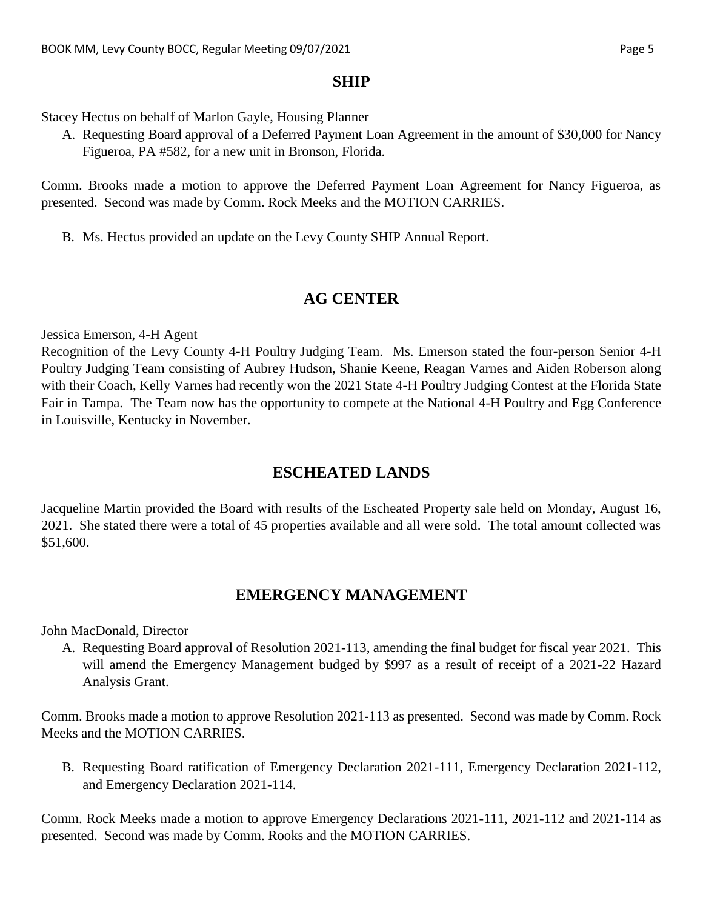#### **SHIP**

Stacey Hectus on behalf of Marlon Gayle, Housing Planner

A. Requesting Board approval of a Deferred Payment Loan Agreement in the amount of \$30,000 for Nancy Figueroa, PA #582, for a new unit in Bronson, Florida.

Comm. Brooks made a motion to approve the Deferred Payment Loan Agreement for Nancy Figueroa, as presented. Second was made by Comm. Rock Meeks and the MOTION CARRIES.

B. Ms. Hectus provided an update on the Levy County SHIP Annual Report.

### **AG CENTER**

Jessica Emerson, 4-H Agent

Recognition of the Levy County 4-H Poultry Judging Team. Ms. Emerson stated the four-person Senior 4-H Poultry Judging Team consisting of Aubrey Hudson, Shanie Keene, Reagan Varnes and Aiden Roberson along with their Coach, Kelly Varnes had recently won the 2021 State 4-H Poultry Judging Contest at the Florida State Fair in Tampa. The Team now has the opportunity to compete at the National 4-H Poultry and Egg Conference in Louisville, Kentucky in November.

# **ESCHEATED LANDS**

Jacqueline Martin provided the Board with results of the Escheated Property sale held on Monday, August 16, 2021. She stated there were a total of 45 properties available and all were sold. The total amount collected was \$51,600.

### **EMERGENCY MANAGEMENT**

John MacDonald, Director

A. Requesting Board approval of Resolution 2021-113, amending the final budget for fiscal year 2021. This will amend the Emergency Management budged by \$997 as a result of receipt of a 2021-22 Hazard Analysis Grant.

Comm. Brooks made a motion to approve Resolution 2021-113 as presented. Second was made by Comm. Rock Meeks and the MOTION CARRIES.

B. Requesting Board ratification of Emergency Declaration 2021-111, Emergency Declaration 2021-112, and Emergency Declaration 2021-114.

Comm. Rock Meeks made a motion to approve Emergency Declarations 2021-111, 2021-112 and 2021-114 as presented. Second was made by Comm. Rooks and the MOTION CARRIES.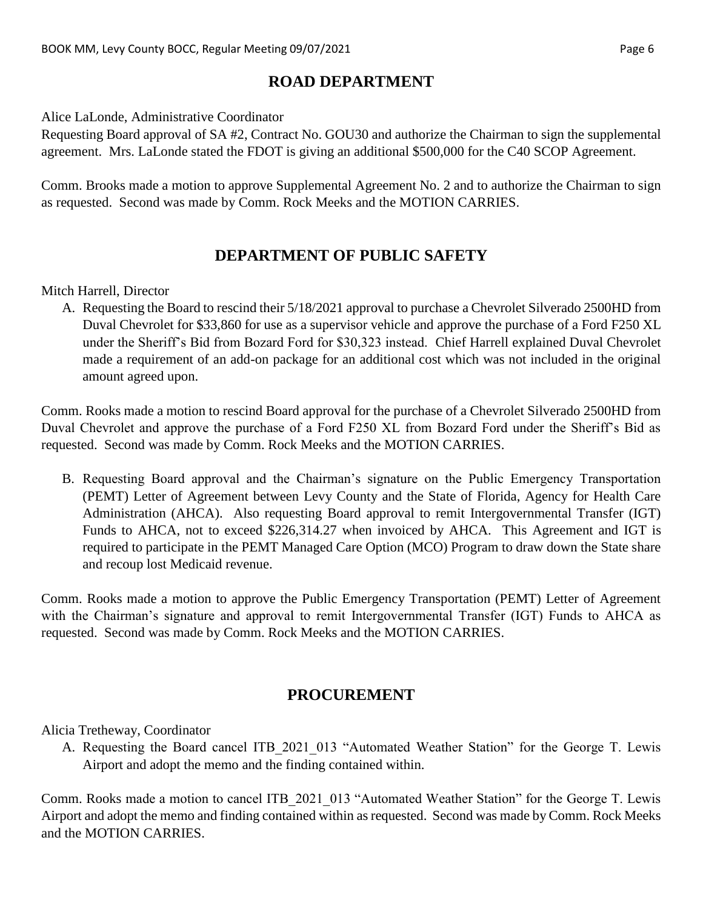### **ROAD DEPARTMENT**

Alice LaLonde, Administrative Coordinator

Requesting Board approval of SA #2, Contract No. GOU30 and authorize the Chairman to sign the supplemental agreement. Mrs. LaLonde stated the FDOT is giving an additional \$500,000 for the C40 SCOP Agreement.

Comm. Brooks made a motion to approve Supplemental Agreement No. 2 and to authorize the Chairman to sign as requested. Second was made by Comm. Rock Meeks and the MOTION CARRIES.

### **DEPARTMENT OF PUBLIC SAFETY**

Mitch Harrell, Director

A. Requesting the Board to rescind their 5/18/2021 approval to purchase a Chevrolet Silverado 2500HD from Duval Chevrolet for \$33,860 for use as a supervisor vehicle and approve the purchase of a Ford F250 XL under the Sheriff's Bid from Bozard Ford for \$30,323 instead. Chief Harrell explained Duval Chevrolet made a requirement of an add-on package for an additional cost which was not included in the original amount agreed upon.

Comm. Rooks made a motion to rescind Board approval for the purchase of a Chevrolet Silverado 2500HD from Duval Chevrolet and approve the purchase of a Ford F250 XL from Bozard Ford under the Sheriff's Bid as requested. Second was made by Comm. Rock Meeks and the MOTION CARRIES.

B. Requesting Board approval and the Chairman's signature on the Public Emergency Transportation (PEMT) Letter of Agreement between Levy County and the State of Florida, Agency for Health Care Administration (AHCA). Also requesting Board approval to remit Intergovernmental Transfer (IGT) Funds to AHCA, not to exceed \$226,314.27 when invoiced by AHCA. This Agreement and IGT is required to participate in the PEMT Managed Care Option (MCO) Program to draw down the State share and recoup lost Medicaid revenue.

Comm. Rooks made a motion to approve the Public Emergency Transportation (PEMT) Letter of Agreement with the Chairman's signature and approval to remit Intergovernmental Transfer (IGT) Funds to AHCA as requested. Second was made by Comm. Rock Meeks and the MOTION CARRIES.

#### **PROCUREMENT**

Alicia Tretheway, Coordinator

A. Requesting the Board cancel ITB 2021 013 "Automated Weather Station" for the George T. Lewis Airport and adopt the memo and the finding contained within.

Comm. Rooks made a motion to cancel ITB\_2021\_013 "Automated Weather Station" for the George T. Lewis Airport and adopt the memo and finding contained within as requested. Second was made by Comm. Rock Meeks and the MOTION CARRIES.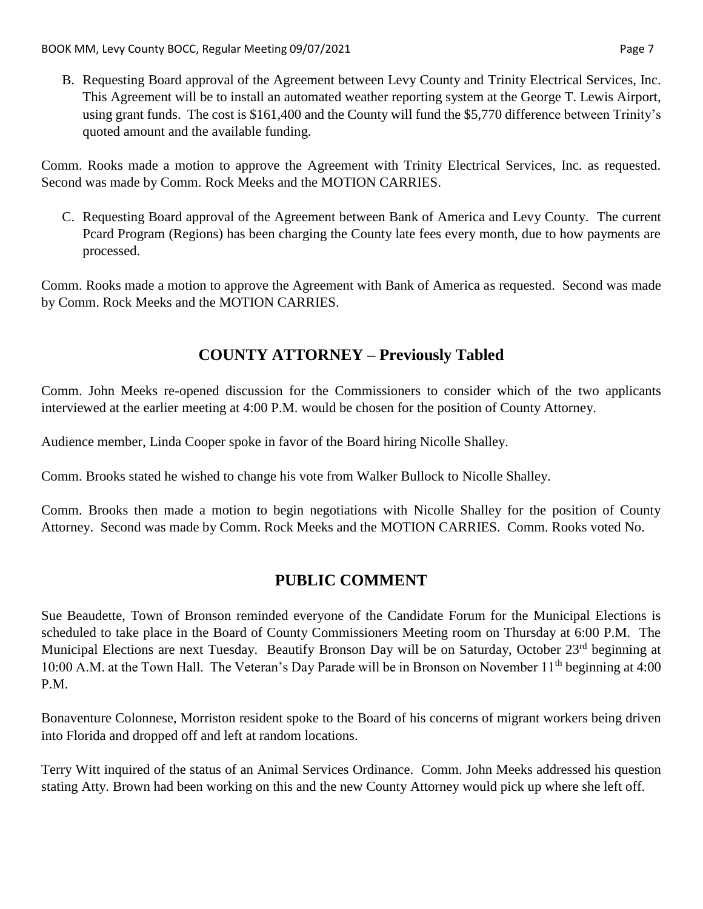B. Requesting Board approval of the Agreement between Levy County and Trinity Electrical Services, Inc. This Agreement will be to install an automated weather reporting system at the George T. Lewis Airport, using grant funds. The cost is \$161,400 and the County will fund the \$5,770 difference between Trinity's quoted amount and the available funding.

Comm. Rooks made a motion to approve the Agreement with Trinity Electrical Services, Inc. as requested. Second was made by Comm. Rock Meeks and the MOTION CARRIES.

C. Requesting Board approval of the Agreement between Bank of America and Levy County. The current Pcard Program (Regions) has been charging the County late fees every month, due to how payments are processed.

Comm. Rooks made a motion to approve the Agreement with Bank of America as requested. Second was made by Comm. Rock Meeks and the MOTION CARRIES.

# **COUNTY ATTORNEY – Previously Tabled**

Comm. John Meeks re-opened discussion for the Commissioners to consider which of the two applicants interviewed at the earlier meeting at 4:00 P.M. would be chosen for the position of County Attorney.

Audience member, Linda Cooper spoke in favor of the Board hiring Nicolle Shalley.

Comm. Brooks stated he wished to change his vote from Walker Bullock to Nicolle Shalley.

Comm. Brooks then made a motion to begin negotiations with Nicolle Shalley for the position of County Attorney. Second was made by Comm. Rock Meeks and the MOTION CARRIES. Comm. Rooks voted No.

### **PUBLIC COMMENT**

Sue Beaudette, Town of Bronson reminded everyone of the Candidate Forum for the Municipal Elections is scheduled to take place in the Board of County Commissioners Meeting room on Thursday at 6:00 P.M. The Municipal Elections are next Tuesday. Beautify Bronson Day will be on Saturday, October 23<sup>rd</sup> beginning at 10:00 A.M. at the Town Hall. The Veteran's Day Parade will be in Bronson on November 11<sup>th</sup> beginning at 4:00 P.M.

Bonaventure Colonnese, Morriston resident spoke to the Board of his concerns of migrant workers being driven into Florida and dropped off and left at random locations.

Terry Witt inquired of the status of an Animal Services Ordinance. Comm. John Meeks addressed his question stating Atty. Brown had been working on this and the new County Attorney would pick up where she left off.